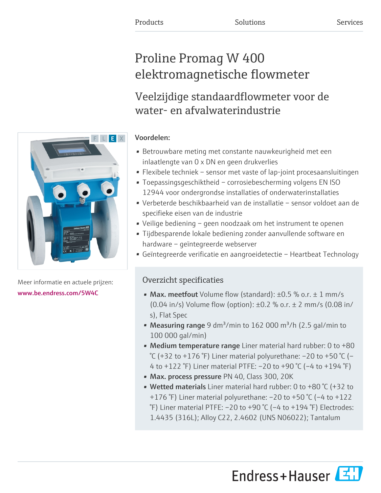# Proline Promag W 400 elektromagnetische flowmeter

# Veelzijdige standaardflowmeter voor de water- en afvalwaterindustrie

## Voordelen:

- Betrouwbare meting met constante nauwkeurigheid met een inlaatlengte van 0 x DN en geen drukverlies
- Flexibele techniek sensor met vaste of lap-joint procesaansluitingen
- Toepassingsgeschiktheid corrosiebescherming volgens EN ISO 12944 voor ondergrondse installaties of onderwaterinstallaties
- Verbeterde beschikbaarheid van de installatie sensor voldoet aan de specifieke eisen van de industrie
- Veilige bediening geen noodzaak om het instrument te openen
- Tijdbesparende lokale bediening zonder aanvullende software en hardware – geïntegreerde webserver
- Geïntegreerde verificatie en aangroeidetectie Heartbeat Technology

# Overzicht specificaties

- Max. meetfout Volume flow (standard):  $\pm 0.5$  % o.r.  $\pm$  1 mm/s (0.04 in/s) Volume flow (option):  $\pm$ 0.2 % o.r.  $\pm$  2 mm/s (0.08 in/ s), Flat Spec
- Measuring range 9 dm<sup>3</sup>/min to 162 000 m<sup>3</sup>/h (2.5 gal/min to 100 000 gal/min)
- Medium temperature range Liner material hard rubber: 0 to +80 °C (+32 to +176 °F) Liner material polyurethane:  $-20$  to +50 °C (-4 to +122 °F) Liner material PTFE: –20 to +90 °C (–4 to +194 °F)
- Max. process pressure PN 40, Class 300, 20K
- Wetted materials Liner material hard rubber: 0 to +80 °C (+32 to +176 °F) Liner material polyurethane: –20 to +50 °C (–4 to +122 °F) Liner material PTFE: –20 to +90 °C (–4 to +194 °F) Electrodes: 1.4435 (316L); Alloy C22, 2.4602 (UNS N06022); Tantalum



Meer informatie en actuele prijzen: [www.be.endress.com/5W4C](https://www.be.endress.com/5W4C)

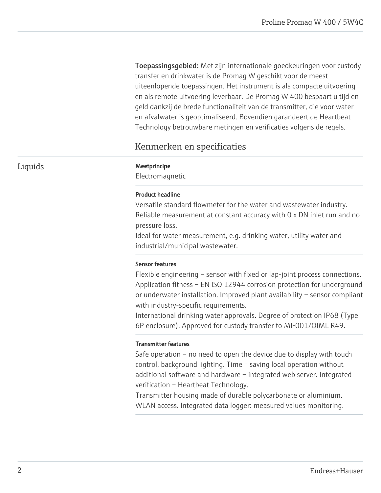Toepassingsgebied: Met zijn internationale goedkeuringen voor custody transfer en drinkwater is de Promag W geschikt voor de meest uiteenlopende toepassingen. Het instrument is als compacte uitvoering en als remote uitvoering leverbaar. De Promag W 400 bespaart u tijd en geld dankzij de brede functionaliteit van de transmitter, die voor water en afvalwater is geoptimaliseerd. Bovendien garandeert de Heartbeat Technology betrouwbare metingen en verificaties volgens de regels.

# Kenmerken en specificaties

## Liquids Meetprincipe

Electromagnetic

#### Product headline

Versatile standard flowmeter for the water and wastewater industry. Reliable measurement at constant accuracy with 0 x DN inlet run and no pressure loss.

Ideal for water measurement, e.g. drinking water, utility water and industrial/municipal wastewater.

#### Sensor features

Flexible engineering – sensor with fixed or lap-joint process connections. Application fitness – EN ISO 12944 corrosion protection for underground or underwater installation. Improved plant availability – sensor compliant with industry-specific requirements.

International drinking water approvals. Degree of protection IP68 (Type 6P enclosure). Approved for custody transfer to MI-001/OIML R49.

#### Transmitter features

Safe operation – no need to open the device due to display with touch control, background lighting. Time - saving local operation without additional software and hardware – integrated web server. Integrated verification – Heartbeat Technology.

Transmitter housing made of durable polycarbonate or aluminium. WLAN access. Integrated data logger: measured values monitoring.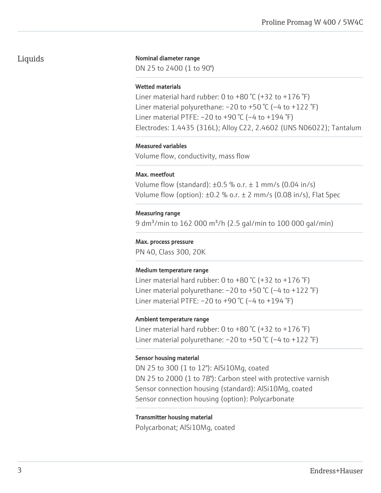# Liquids

#### Nominal diameter range

DN 25 to 2400 (1 to 90")

#### Wetted materials

Liner material hard rubber: 0 to  $+80$  °C ( $+32$  to  $+176$  °F) Liner material polyurethane:  $-20$  to  $+50$  °C ( $-4$  to  $+122$  °F) Liner material PTFE:  $-20$  to  $+90$  °C ( $-4$  to  $+194$  °F) Electrodes: 1.4435 (316L); Alloy C22, 2.4602 (UNS N06022); Tantalum

#### Measured variables

Volume flow, conductivity, mass flow

#### Max. meetfout

Volume flow (standard):  $\pm 0.5$  % o.r.  $\pm$  1 mm/s (0.04 in/s) Volume flow (option):  $\pm 0.2$  % o.r.  $\pm$  2 mm/s (0.08 in/s), Flat Spec

## Measuring range

9 dm<sup>3</sup>/min to 162 000 m<sup>3</sup>/h (2.5 gal/min to 100 000 gal/min)

#### Max. process pressure

PN 40, Class 300, 20K

#### Medium temperature range

Liner material hard rubber: 0 to  $+80$  °C ( $+32$  to  $+176$  °F) Liner material polyurethane:  $-20$  to  $+50$  °C ( $-4$  to  $+122$  °F) Liner material PTFE:  $-20$  to  $+90$  °C ( $-4$  to  $+194$  °F)

#### Ambient temperature range

Liner material hard rubber: 0 to  $+80$  °C ( $+32$  to  $+176$  °F) Liner material polyurethane:  $-20$  to  $+50$  °C ( $-4$  to  $+122$  °F)

## Sensor housing material

DN 25 to 300 (1 to 12"): AlSi10Mg, coated DN 25 to 2000 (1 to 78"): Carbon steel with protective varnish Sensor connection housing (standard): AlSi10Mg, coated Sensor connection housing (option): Polycarbonate

## Transmitter housing material

Polycarbonat; AlSi10Mg, coated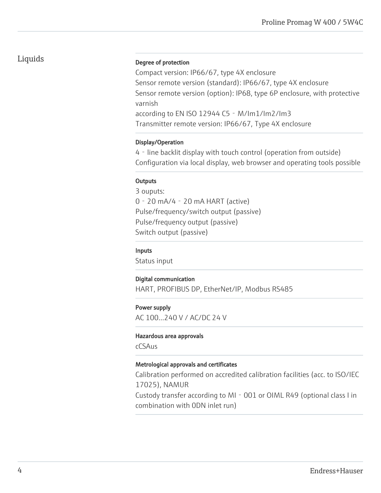# Liquids

#### Degree of protection

Compact version: IP66/67, type 4X enclosure Sensor remote version (standard): IP66/67, type 4X enclosure Sensor remote version (option): IP68, type 6P enclosure, with protective varnish according to EN ISO 12944 C5‐M/Im1/Im2/Im3 Transmitter remote version: IP66/67, Type 4X enclosure

#### Display/Operation

4‐line backlit display with touch control (operation from outside) Configuration via local display, web browser and operating tools possible

## **Outputs**

3 ouputs: 0‐20 mA/4‐20 mA HART (active) Pulse/frequency/switch output (passive) Pulse/frequency output (passive) Switch output (passive)

#### Inputs

Status input

#### Digital communication

HART, PROFIBUS DP, EtherNet/IP, Modbus RS485

#### Power supply

AC 100…240 V / AC/DC 24 V

#### Hazardous area approvals

cCSAus

#### Metrological approvals and certificates

Calibration performed on accredited calibration facilities (acc. to ISO/IEC 17025), NAMUR

Custody transfer according to MI‐001 or OIML R49 (optional class I in combination with 0DN inlet run)